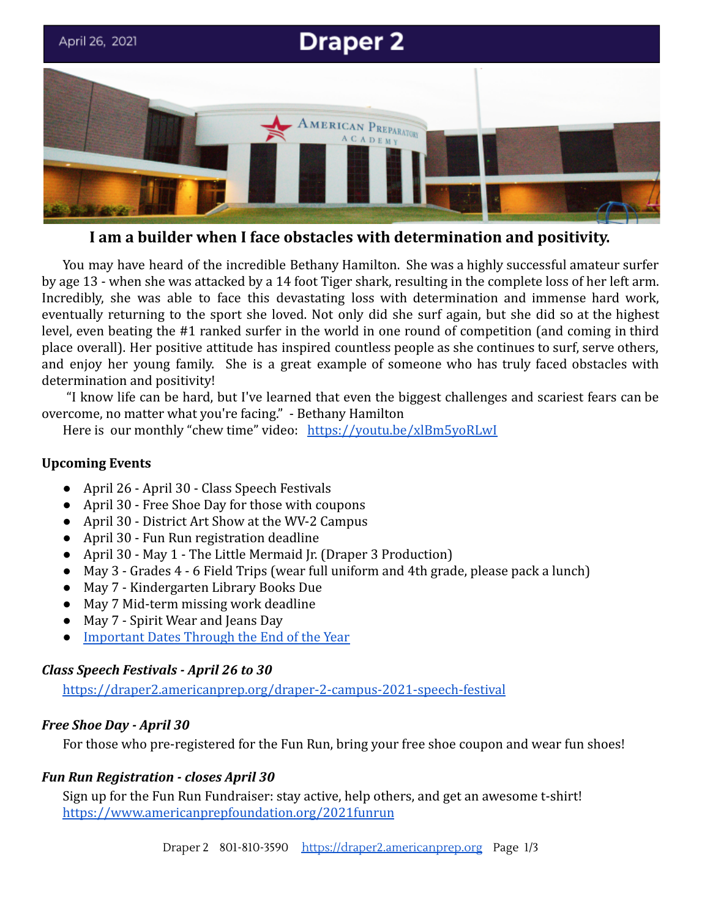

**I am a builder when I face obstacles with determination and positivity.**

You may have heard of the incredible Bethany Hamilton. She was a highly successful amateur surfer by age 13 - when she was attacked by a 14 foot Tiger shark, resulting in the complete loss of her left arm. Incredibly, she was able to face this devastating loss with determination and immense hard work, eventually returning to the sport she loved. Not only did she surf again, but she did so at the highest level, even beating the #1 ranked surfer in the world in one round of competition (and coming in third place overall). Her positive attitude has inspired countless people as she continues to surf, serve others, and enjoy her young family. She is a great example of someone who has truly faced obstacles with determination and positivity!

"I know life can be hard, but I've learned that even the biggest challenges and scariest fears can be overcome, no matter what you're facing." - Bethany Hamilton

Here is our monthly "chew time" video: <https://youtu.be/xlBm5yoRLwI>

### **Upcoming Events**

- April 26 April 30 Class Speech Festivals
- April 30 Free Shoe Day for those with coupons
- April 30 District Art Show at the WV-2 Campus
- April 30 Fun Run registration deadline
- April 30 May 1 The Little Mermaid Jr. (Draper 3 Production)
- May 3 Grades 4 6 Field Trips (wear full uniform and 4th grade, please pack a lunch)
- May 7 Kindergarten Library Books Due
- May 7 Mid-term missing work deadline
- May 7 Spirit Wear and Jeans Day
- [Important Dates Through the End of the Year](https://docs.google.com/document/d/1J6M2qs3CgzwJghjMGlxaXbHNL2sZzsmAcC7pbZcyhG4/edit?usp=sharing)

#### *Class Speech Festivals - April 26 to 30*

<https://draper2.americanprep.org/draper-2-campus-2021-speech-festival>

# *Free Shoe Day - April 30*

For those who pre-registered for the Fun Run, bring your free shoe coupon and wear fun shoes!

# *Fun Run Registration - closes April 30*

Sign up for the Fun Run Fundraiser: stay active, help others, and get an awesome t-shirt! <https://www.americanprepfoundation.org/2021funrun>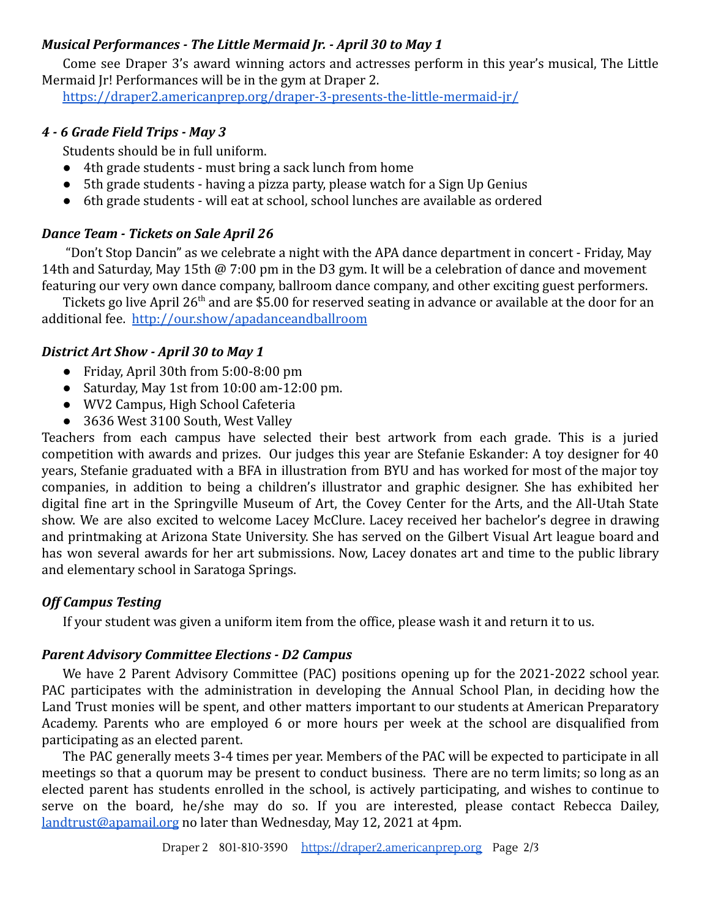### *Musical Performances - The Little Mermaid Jr. - April 30 to May 1*

Come see Draper 3's award winning actors and actresses perform in this year's musical, The Little Mermaid Jr! Performances will be in the gym at Draper 2.

<https://draper2.americanprep.org/draper-3-presents-the-little-mermaid-jr/>

### *4 - 6 Grade Field Trips - May 3*

Students should be in full uniform.

- 4th grade students must bring a sack lunch from home
- 5th grade students having a pizza party, please watch for a Sign Up Genius
- 6th grade students will eat at school, school lunches are available as ordered

### *Dance Team - Tickets on Sale April 26*

"Don't Stop Dancin" as we celebrate a night with the APA dance department in concert - Friday, May 14th and Saturday, May 15th @ 7:00 pm in the D3 gym. It will be a celebration of dance and movement featuring our very own dance company, ballroom dance company, and other exciting guest performers.

Tickets go live April  $26<sup>th</sup>$  and are \$5.00 for reserved seating in advance or available at the door for an additional fee. <http://our.show/apadanceandballroom>

### *District Art Show - April 30 to May 1*

- Friday, April 30th from 5:00-8:00 pm
- Saturday, May 1st from 10:00 am-12:00 pm.
- WV2 Campus, High School Cafeteria
- 3636 West 3100 South, West Valley

Teachers from each campus have selected their best artwork from each grade. This is a juried competition with awards and prizes. Our judges this year are Stefanie Eskander: A toy designer for 40 years, Stefanie graduated with a BFA in illustration from BYU and has worked for most of the major toy companies, in addition to being a children's illustrator and graphic designer. She has exhibited her digital fine art in the Springville Museum of Art, the Covey Center for the Arts, and the All-Utah State show. We are also excited to welcome Lacey McClure. Lacey received her bachelor's degree in drawing and printmaking at Arizona State University. She has served on the Gilbert Visual Art league board and has won several awards for her art submissions. Now, Lacey donates art and time to the public library and elementary school in Saratoga Springs.

# *Off Campus Testing*

If your student was given a uniform item from the office, please wash it and return it to us.

# *Parent Advisory Committee Elections - D2 Campus*

We have 2 Parent Advisory Committee (PAC) positions opening up for the 2021-2022 school year. PAC participates with the administration in developing the Annual School Plan, in deciding how the Land Trust monies will be spent, and other matters important to our students at American Preparatory Academy. Parents who are employed 6 or more hours per week at the school are disqualified from participating as an elected parent.

The PAC generally meets 3-4 times per year. Members of the PAC will be expected to participate in all meetings so that a quorum may be present to conduct business. There are no term limits; so long as an elected parent has students enrolled in the school, is actively participating, and wishes to continue to serve on the board, he/she may do so. If you are interested, please contact Rebecca Dailey, [landtrust@apamail.org](mailto:landtrust@apamail.org) no later than Wednesday, May 12, 2021 at 4pm.